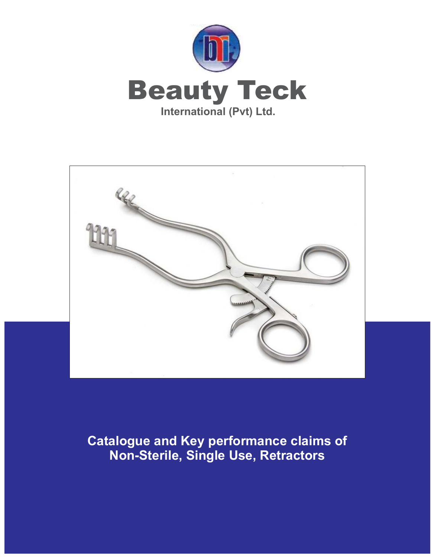



**Catalogue and Key performance claims of Non-Sterile, Single Use, Retractors**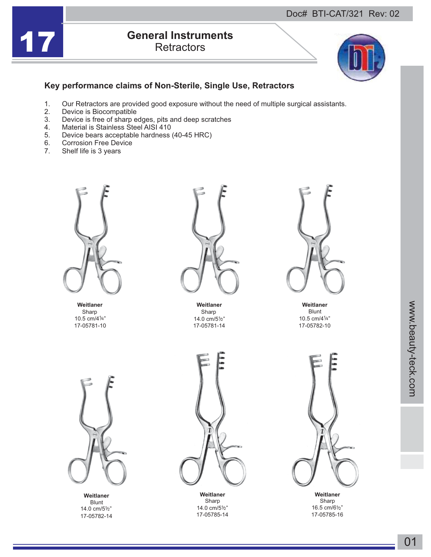

## **17 <b>General Instruments**<br>Retractors **Retractors**



## **Key performance claims of Non-Sterile, Single Use, Retractors**

- 1. Our Retractors are provided good exposure without the need of multiple surgical assistants.<br>2. Device is Biocompatible
- 2. Device is Biocompatible<br>3. Device is free of sharp e
- 3. Device is free of sharp edges, pits and deep scratches
- 4. Material is Stainless Steel AISI 410<br>5. Device bears acceptable hardness
- 5. Device bears acceptable hardness (40-45 HRC)<br>6. Corrosion Free Device
- 6. Corrosion Free Device<br>7. Shelf life is 3 vears
- Shelf life is 3 years



Sharp Sharp Sharp Sharp Sharp Sharp Sharp Sharp Sharp Sharp Sharp Sharp Sharp Sharp Sharp Sharp Sharp Sharp Sharp Sharp Sharp Sharp Sharp Sharp Sharp Sharp Sharp Sharp Sharp Sharp Sharp Sharp Sharp Sharp Sharp Sharp Sharp 10.5 cm/41/4"



**Weitlaner Weitlaner Weitlaner** 17-05781-10 17-05781-14 14.0 cm/51/2"



Blunt 17-05782-10 10.5 cm/41/4"



**Weitlaner** Blunt<br>14.0 cm/51/2" 17-05782-14



14.0 cm/51/2"<br>17-05785-14



16.5  $cm/6\frac{1}{2}$ " Sharp Sharp Sharp Sharp Sharp Sharp Sharp Sharp Sharp Sharp Sharp Sharp Sharp Sharp Sharp Sharp Sharp Sharp Sharp Sharp Sharp Sharp Sharp Sharp Sharp Sharp Sharp Sharp Sharp Sharp Sharp Sharp Sharp Sharp Sharp Sharp Sharp 17-05785-16 **Weitlaner Weitlaner**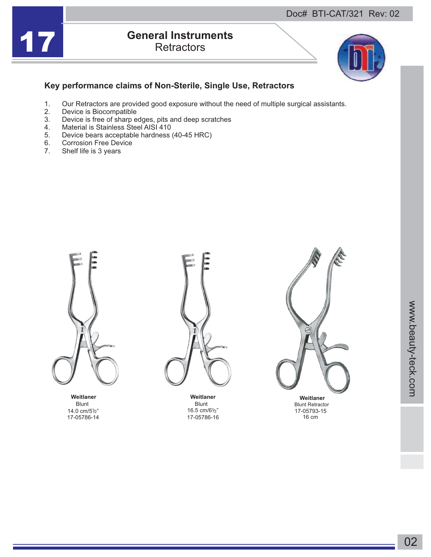

## **17 <b>General Instruments**<br>Retractors **Retractors**



## **Key performance claims of Non-Sterile, Single Use, Retractors**

- 1. Our Retractors are provided good exposure without the need of multiple surgical assistants.<br>2. Device is Biocompatible
- 2. Device is Biocompatible<br>3. Device is free of sharp e
- 3. Device is free of sharp edges, pits and deep scratches
- 4. Material is Stainless Steel AISI 410<br>5. Device bears acceptable hardness
- 5. Device bears acceptable hardness (40-45 HRC)<br>6. Corrosion Free Device
- 6. Corrosion Free Device<br>7. Shelf life is 3 vears
- Shelf life is 3 years



Blunt Blunt Blunt Blunt Blunt Blunt 14.0 cm/51/2"<br>17-05786-14



16.5 cm/61/2" 17-05786-16



17-05793-15 16 cm Blunt Retractor